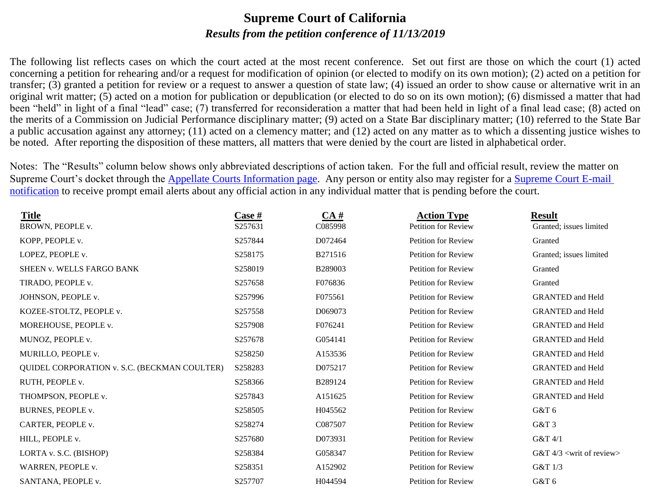### **Supreme Court of California** *Results from the petition conference of 11/13/2019*

The following list reflects cases on which the court acted at the most recent conference. Set out first are those on which the court (1) acted concerning a petition for rehearing and/or a request for modification of opinion (or elected to modify on its own motion); (2) acted on a petition for transfer; (3) granted a petition for review or a request to answer a question of state law; (4) issued an order to show cause or alternative writ in an original writ matter; (5) acted on a motion for publication or depublication (or elected to do so on its own motion); (6) dismissed a matter that had been "held" in light of a final "lead" case; (7) transferred for reconsideration a matter that had been held in light of a final lead case; (8) acted on the merits of a Commission on Judicial Performance disciplinary matter; (9) acted on a State Bar disciplinary matter; (10) referred to the State Bar a public accusation against any attorney; (11) acted on a clemency matter; and (12) acted on any matter as to which a dissenting justice wishes to be noted. After reporting the disposition of these matters, all matters that were denied by the court are listed in alphabetical order.

Notes: The "Results" column below shows only abbreviated descriptions of action taken. For the full and official result, review the matter on Supreme Court's docket through the **Appellate Courts Information page**. Any person or entity also may register for a **Supreme Court E-mail** [notification](http://appellatecases.courtinfo.ca.gov/email.cfm?dist=0) to receive prompt email alerts about any official action in any individual matter that is pending before the court.

| <b>Title</b>                                        | $\frac{\text{Case } \#}{\text{Case } \#}}$ | CA#     | <b>Action Type</b>         | <b>Result</b>                           |
|-----------------------------------------------------|--------------------------------------------|---------|----------------------------|-----------------------------------------|
| BROWN, PEOPLE v.                                    | S257631                                    | C085998 | Petition for Review        | Granted; issues limited                 |
| KOPP, PEOPLE v.                                     | S257844                                    | D072464 | Petition for Review        | Granted                                 |
| LOPEZ, PEOPLE v.                                    | S258175                                    | B271516 | Petition for Review        | Granted; issues limited                 |
| SHEEN v. WELLS FARGO BANK                           | S258019                                    | B289003 | <b>Petition for Review</b> | Granted                                 |
| TIRADO, PEOPLE v.                                   | S257658                                    | F076836 | <b>Petition for Review</b> | Granted                                 |
| JOHNSON, PEOPLE v.                                  | S257996                                    | F075561 | <b>Petition for Review</b> | <b>GRANTED and Held</b>                 |
| KOZEE-STOLTZ, PEOPLE v.                             | S257558                                    | D069073 | <b>Petition for Review</b> | <b>GRANTED</b> and Held                 |
| MOREHOUSE, PEOPLE v.                                | S257908                                    | F076241 | <b>Petition for Review</b> | <b>GRANTED</b> and Held                 |
| MUNOZ, PEOPLE v.                                    | S257678                                    | G054141 | <b>Petition for Review</b> | <b>GRANTED</b> and Held                 |
| MURILLO, PEOPLE v.                                  | S258250                                    | A153536 | <b>Petition for Review</b> | <b>GRANTED</b> and Held                 |
| <b>QUIDEL CORPORATION v. S.C. (BECKMAN COULTER)</b> | S258283                                    | D075217 | <b>Petition for Review</b> | <b>GRANTED and Held</b>                 |
| RUTH, PEOPLE v.                                     | S258366                                    | B289124 | Petition for Review        | <b>GRANTED</b> and Held                 |
| THOMPSON, PEOPLE v.                                 | S257843                                    | A151625 | Petition for Review        | <b>GRANTED</b> and Held                 |
| BURNES, PEOPLE v.                                   | S258505                                    | H045562 | <b>Petition for Review</b> | G&T 6                                   |
| CARTER, PEOPLE v.                                   | S258274                                    | C087507 | <b>Petition for Review</b> | G&T 3                                   |
| HILL, PEOPLE v.                                     | S257680                                    | D073931 | Petition for Review        | G&T 4/1                                 |
| LORTA v. S.C. (BISHOP)                              | S258384                                    | G058347 | <b>Petition for Review</b> | G&T $4/3$ <writ of="" review=""></writ> |
| WARREN, PEOPLE v.                                   | S258351                                    | A152902 | Petition for Review        | G&T 1/3                                 |
| SANTANA, PEOPLE v.                                  | S257707                                    | H044594 | <b>Petition for Review</b> | G&T 6                                   |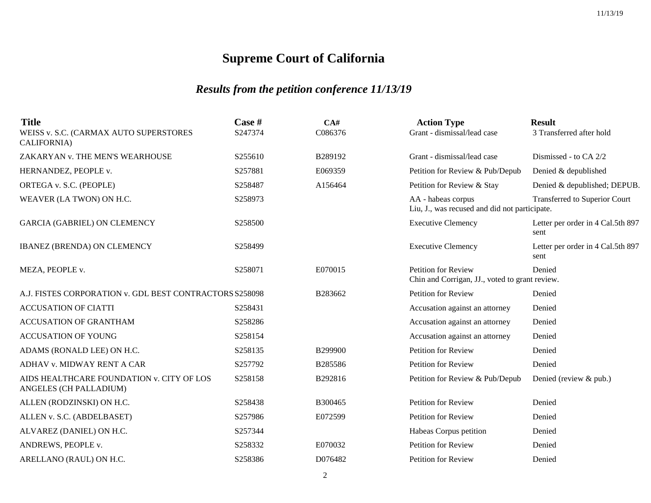| <b>Title</b><br>WEISS v. S.C. (CARMAX AUTO SUPERSTORES<br>CALIFORNIA) | Case #<br>S247374 | CA#<br>C086376 | <b>Action Type</b><br>Grant - dismissal/lead case                            | <b>Result</b><br>3 Transferred after hold |
|-----------------------------------------------------------------------|-------------------|----------------|------------------------------------------------------------------------------|-------------------------------------------|
| ZAKARYAN v. THE MEN'S WEARHOUSE                                       | S255610           | B289192        | Grant - dismissal/lead case                                                  | Dismissed - to CA 2/2                     |
| HERNANDEZ, PEOPLE v.                                                  | S257881           | E069359        | Petition for Review & Pub/Depub                                              | Denied & depublished                      |
| ORTEGA v. S.C. (PEOPLE)                                               | S258487           | A156464        | Petition for Review & Stay                                                   | Denied & depublished; DEPUB.              |
| WEAVER (LA TWON) ON H.C.                                              | S258973           |                | AA - habeas corpus<br>Liu, J., was recused and did not participate.          | Transferred to Superior Court             |
| <b>GARCIA (GABRIEL) ON CLEMENCY</b>                                   | S258500           |                | <b>Executive Clemency</b>                                                    | Letter per order in 4 Cal.5th 897<br>sent |
| <b>IBANEZ (BRENDA) ON CLEMENCY</b>                                    | S258499           |                | <b>Executive Clemency</b>                                                    | Letter per order in 4 Cal.5th 897<br>sent |
| MEZA, PEOPLE v.                                                       | S258071           | E070015        | <b>Petition for Review</b><br>Chin and Corrigan, JJ., voted to grant review. | Denied                                    |
| A.J. FISTES CORPORATION v. GDL BEST CONTRACTORS S258098               |                   | B283662        | <b>Petition for Review</b>                                                   | Denied                                    |
| <b>ACCUSATION OF CIATTI</b>                                           | S258431           |                | Accusation against an attorney                                               | Denied                                    |
| <b>ACCUSATION OF GRANTHAM</b>                                         | S258286           |                | Accusation against an attorney                                               | Denied                                    |
| <b>ACCUSATION OF YOUNG</b>                                            | S258154           |                | Accusation against an attorney                                               | Denied                                    |
| ADAMS (RONALD LEE) ON H.C.                                            | S258135           | B299900        | <b>Petition for Review</b>                                                   | Denied                                    |
| ADHAV v. MIDWAY RENT A CAR                                            | S257792           | B285586        | Petition for Review                                                          | Denied                                    |
| AIDS HEALTHCARE FOUNDATION v. CITY OF LOS<br>ANGELES (CH PALLADIUM)   | S258158           | B292816        | Petition for Review & Pub/Depub                                              | Denied (review & pub.)                    |
| ALLEN (RODZINSKI) ON H.C.                                             | S258438           | B300465        | <b>Petition for Review</b>                                                   | Denied                                    |
| ALLEN v. S.C. (ABDELBASET)                                            | S257986           | E072599        | <b>Petition for Review</b>                                                   | Denied                                    |
| ALVAREZ (DANIEL) ON H.C.                                              | S257344           |                | Habeas Corpus petition                                                       | Denied                                    |
| ANDREWS, PEOPLE v.                                                    | S258332           | E070032        | Petition for Review                                                          | Denied                                    |
| ARELLANO (RAUL) ON H.C.                                               | S258386           | D076482        | <b>Petition for Review</b>                                                   | Denied                                    |
|                                                                       |                   |                |                                                                              |                                           |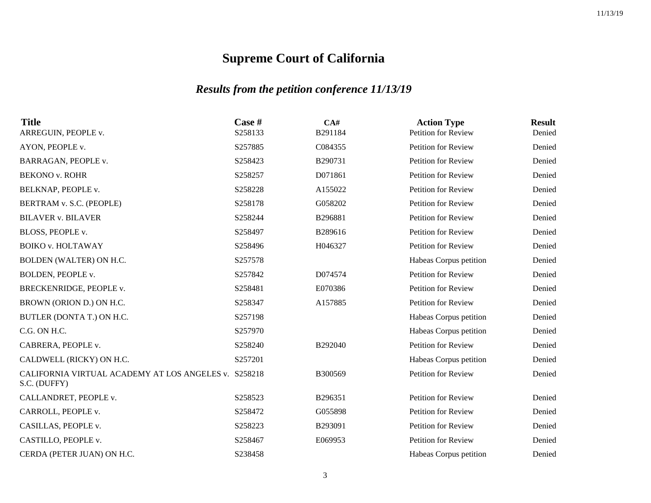| <b>Title</b><br>ARREGUIN, PEOPLE v.                                  | Case #<br>S258133 | CA#<br>B291184 | <b>Action Type</b><br>Petition for Review | <b>Result</b><br>Denied |
|----------------------------------------------------------------------|-------------------|----------------|-------------------------------------------|-------------------------|
| AYON, PEOPLE v.                                                      | S257885           | C084355        | <b>Petition for Review</b>                | Denied                  |
| BARRAGAN, PEOPLE v.                                                  | S258423           | B290731        | Petition for Review                       | Denied                  |
| <b>BEKONO v. ROHR</b>                                                | S258257           | D071861        | <b>Petition for Review</b>                | Denied                  |
| BELKNAP, PEOPLE v.                                                   | S258228           | A155022        | Petition for Review                       | Denied                  |
| BERTRAM v. S.C. (PEOPLE)                                             | S258178           | G058202        | Petition for Review                       | Denied                  |
| <b>BILAVER v. BILAVER</b>                                            | S258244           | B296881        | <b>Petition for Review</b>                | Denied                  |
| BLOSS, PEOPLE v.                                                     | S258497           | B289616        | Petition for Review                       | Denied                  |
| <b>BOIKO v. HOLTAWAY</b>                                             | S258496           | H046327        | Petition for Review                       | Denied                  |
| BOLDEN (WALTER) ON H.C.                                              | S257578           |                | Habeas Corpus petition                    | Denied                  |
| BOLDEN, PEOPLE v.                                                    | S257842           | D074574        | <b>Petition for Review</b>                | Denied                  |
| BRECKENRIDGE, PEOPLE v.                                              | S258481           | E070386        | Petition for Review                       | Denied                  |
| BROWN (ORION D.) ON H.C.                                             | S258347           | A157885        | <b>Petition for Review</b>                | Denied                  |
| BUTLER (DONTA T.) ON H.C.                                            | S257198           |                | Habeas Corpus petition                    | Denied                  |
| C.G. ON H.C.                                                         | S257970           |                | Habeas Corpus petition                    | Denied                  |
| CABRERA, PEOPLE v.                                                   | S258240           | B292040        | Petition for Review                       | Denied                  |
| CALDWELL (RICKY) ON H.C.                                             | S257201           |                | Habeas Corpus petition                    | Denied                  |
| CALIFORNIA VIRTUAL ACADEMY AT LOS ANGELES v. S258218<br>S.C. (DUFFY) |                   | B300569        | <b>Petition for Review</b>                | Denied                  |
| CALLANDRET, PEOPLE v.                                                | S258523           | B296351        | <b>Petition for Review</b>                | Denied                  |
| CARROLL, PEOPLE v.                                                   | S258472           | G055898        | Petition for Review                       | Denied                  |
| CASILLAS, PEOPLE v.                                                  | S258223           | B293091        | Petition for Review                       | Denied                  |
| CASTILLO, PEOPLE v.                                                  | S258467           | E069953        | Petition for Review                       | Denied                  |
| CERDA (PETER JUAN) ON H.C.                                           | S238458           |                | Habeas Corpus petition                    | Denied                  |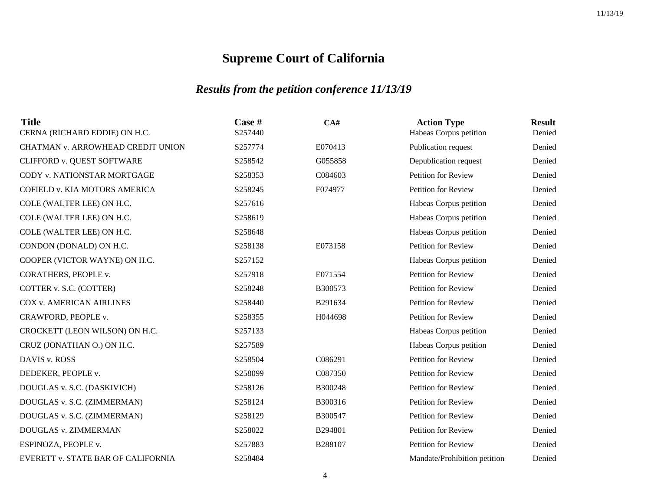| <b>Title</b><br>CERNA (RICHARD EDDIE) ON H.C. | Case #<br>S257440 | CA#     | <b>Action Type</b><br>Habeas Corpus petition | <b>Result</b><br>Denied |
|-----------------------------------------------|-------------------|---------|----------------------------------------------|-------------------------|
| CHATMAN v. ARROWHEAD CREDIT UNION             | S257774           | E070413 | Publication request                          | Denied                  |
| CLIFFORD v. QUEST SOFTWARE                    | S258542           | G055858 | Depublication request                        | Denied                  |
| CODY v. NATIONSTAR MORTGAGE                   | S258353           | C084603 | <b>Petition for Review</b>                   | Denied                  |
| COFIELD v. KIA MOTORS AMERICA                 | S258245           | F074977 | Petition for Review                          | Denied                  |
| COLE (WALTER LEE) ON H.C.                     | S257616           |         | Habeas Corpus petition                       | Denied                  |
| COLE (WALTER LEE) ON H.C.                     | S258619           |         | Habeas Corpus petition                       | Denied                  |
| COLE (WALTER LEE) ON H.C.                     | S258648           |         | Habeas Corpus petition                       | Denied                  |
| CONDON (DONALD) ON H.C.                       | S258138           | E073158 | Petition for Review                          | Denied                  |
| COOPER (VICTOR WAYNE) ON H.C.                 | S257152           |         | Habeas Corpus petition                       | Denied                  |
| CORATHERS, PEOPLE v.                          | S257918           | E071554 | <b>Petition for Review</b>                   | Denied                  |
| COTTER v. S.C. (COTTER)                       | S258248           | B300573 | <b>Petition for Review</b>                   | Denied                  |
| <b>COX v. AMERICAN AIRLINES</b>               | S258440           | B291634 | Petition for Review                          | Denied                  |
| CRAWFORD, PEOPLE v.                           | S258355           | H044698 | <b>Petition for Review</b>                   | Denied                  |
| CROCKETT (LEON WILSON) ON H.C.                | S257133           |         | Habeas Corpus petition                       | Denied                  |
| CRUZ (JONATHAN O.) ON H.C.                    | S257589           |         | Habeas Corpus petition                       | Denied                  |
| DAVIS v. ROSS                                 | S258504           | C086291 | <b>Petition for Review</b>                   | Denied                  |
| DEDEKER, PEOPLE v.                            | S258099           | C087350 | <b>Petition for Review</b>                   | Denied                  |
| DOUGLAS v. S.C. (DASKIVICH)                   | S258126           | B300248 | <b>Petition for Review</b>                   | Denied                  |
| DOUGLAS v. S.C. (ZIMMERMAN)                   | S258124           | B300316 | Petition for Review                          | Denied                  |
| DOUGLAS v. S.C. (ZIMMERMAN)                   | S258129           | B300547 | Petition for Review                          | Denied                  |
| DOUGLAS v. ZIMMERMAN                          | S258022           | B294801 | Petition for Review                          | Denied                  |
| ESPINOZA, PEOPLE v.                           | S257883           | B288107 | Petition for Review                          | Denied                  |
| EVERETT v. STATE BAR OF CALIFORNIA            | S258484           |         | Mandate/Prohibition petition                 | Denied                  |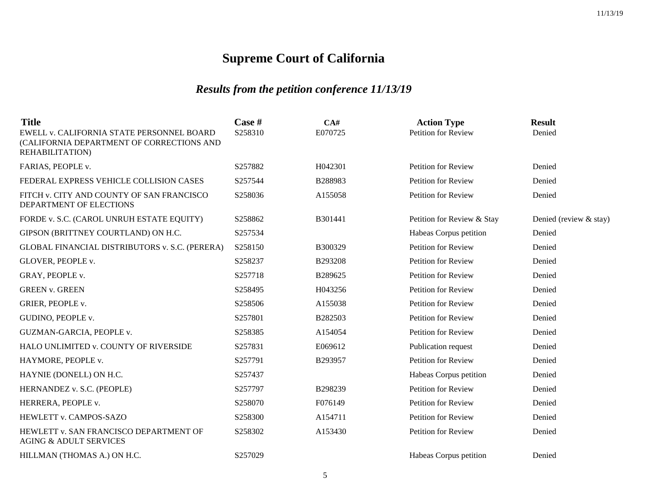| <b>Title</b><br>EWELL v. CALIFORNIA STATE PERSONNEL BOARD<br>(CALIFORNIA DEPARTMENT OF CORRECTIONS AND<br>REHABILITATION) | Case #<br>S258310 | CA#<br>E070725 | <b>Action Type</b><br><b>Petition for Review</b> | <b>Result</b><br>Denied |
|---------------------------------------------------------------------------------------------------------------------------|-------------------|----------------|--------------------------------------------------|-------------------------|
| FARIAS, PEOPLE v.                                                                                                         | S257882           | H042301        | <b>Petition for Review</b>                       | Denied                  |
| FEDERAL EXPRESS VEHICLE COLLISION CASES                                                                                   | S257544           | B288983        | <b>Petition for Review</b>                       | Denied                  |
| FITCH v. CITY AND COUNTY OF SAN FRANCISCO<br>DEPARTMENT OF ELECTIONS                                                      | S258036           | A155058        | <b>Petition for Review</b>                       | Denied                  |
| FORDE v. S.C. (CAROL UNRUH ESTATE EQUITY)                                                                                 | S258862           | B301441        | Petition for Review & Stay                       | Denied (review & stay)  |
| GIPSON (BRITTNEY COURTLAND) ON H.C.                                                                                       | S257534           |                | Habeas Corpus petition                           | Denied                  |
| GLOBAL FINANCIAL DISTRIBUTORS v. S.C. (PERERA)                                                                            | S258150           | B300329        | <b>Petition for Review</b>                       | Denied                  |
| GLOVER, PEOPLE v.                                                                                                         | S258237           | B293208        | <b>Petition for Review</b>                       | Denied                  |
| GRAY, PEOPLE v.                                                                                                           | S257718           | B289625        | <b>Petition for Review</b>                       | Denied                  |
| <b>GREEN v. GREEN</b>                                                                                                     | S258495           | H043256        | <b>Petition for Review</b>                       | Denied                  |
| GRIER, PEOPLE v.                                                                                                          | S258506           | A155038        | <b>Petition for Review</b>                       | Denied                  |
| GUDINO, PEOPLE v.                                                                                                         | S257801           | B282503        | Petition for Review                              | Denied                  |
| GUZMAN-GARCIA, PEOPLE v.                                                                                                  | S258385           | A154054        | <b>Petition for Review</b>                       | Denied                  |
| HALO UNLIMITED v. COUNTY OF RIVERSIDE                                                                                     | S257831           | E069612        | Publication request                              | Denied                  |
| HAYMORE, PEOPLE v.                                                                                                        | S257791           | B293957        | <b>Petition for Review</b>                       | Denied                  |
| HAYNIE (DONELL) ON H.C.                                                                                                   | S257437           |                | Habeas Corpus petition                           | Denied                  |
| HERNANDEZ v. S.C. (PEOPLE)                                                                                                | S257797           | B298239        | <b>Petition for Review</b>                       | Denied                  |
| HERRERA, PEOPLE v.                                                                                                        | S258070           | F076149        | <b>Petition for Review</b>                       | Denied                  |
| HEWLETT v. CAMPOS-SAZO                                                                                                    | S258300           | A154711        | <b>Petition for Review</b>                       | Denied                  |
| HEWLETT v. SAN FRANCISCO DEPARTMENT OF<br><b>AGING &amp; ADULT SERVICES</b>                                               | S258302           | A153430        | <b>Petition for Review</b>                       | Denied                  |
| HILLMAN (THOMAS A.) ON H.C.                                                                                               | S257029           |                | Habeas Corpus petition                           | Denied                  |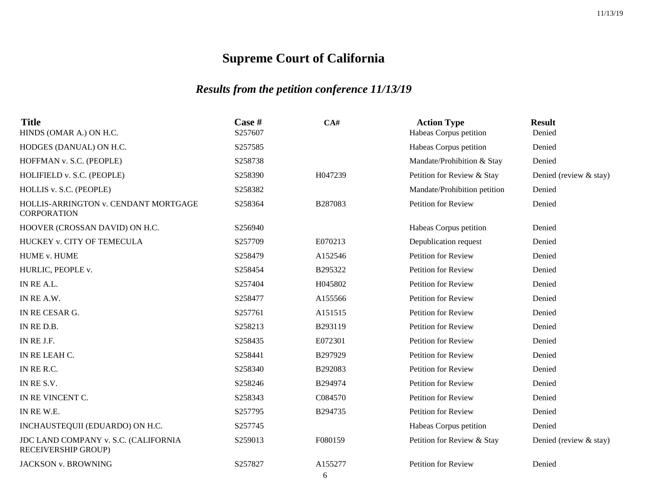| <b>Title</b><br>HINDS (OMAR A.) ON H.C.                     | Case #<br>S257607 | CA#          | <b>Action Type</b><br>Habeas Corpus petition | <b>Result</b><br>Denied |
|-------------------------------------------------------------|-------------------|--------------|----------------------------------------------|-------------------------|
| HODGES (DANUAL) ON H.C.                                     | S257585           |              | Habeas Corpus petition                       | Denied                  |
| HOFFMAN v. S.C. (PEOPLE)                                    | S258738           |              | Mandate/Prohibition & Stay                   | Denied                  |
| HOLIFIELD v. S.C. (PEOPLE)                                  | S258390           | H047239      | Petition for Review & Stay                   | Denied (review & stay)  |
| HOLLIS v. S.C. (PEOPLE)                                     | S258382           |              | Mandate/Prohibition petition                 | Denied                  |
| HOLLIS-ARRINGTON v. CENDANT MORTGAGE<br><b>CORPORATION</b>  | S258364           | B287083      | <b>Petition for Review</b>                   | Denied                  |
| HOOVER (CROSSAN DAVID) ON H.C.                              | S256940           |              | Habeas Corpus petition                       | Denied                  |
| HUCKEY v. CITY OF TEMECULA                                  | S257709           | E070213      | Depublication request                        | Denied                  |
| HUME v. HUME                                                | S258479           | A152546      | <b>Petition for Review</b>                   | Denied                  |
| HURLIC, PEOPLE v.                                           | S258454           | B295322      | <b>Petition for Review</b>                   | Denied                  |
| IN RE A.L.                                                  | S257404           | H045802      | Petition for Review                          | Denied                  |
| IN RE A.W.                                                  | S258477           | A155566      | <b>Petition for Review</b>                   | Denied                  |
| IN RE CESAR G.                                              | S257761           | A151515      | <b>Petition for Review</b>                   | Denied                  |
| IN RED.B.                                                   | S258213           | B293119      | <b>Petition for Review</b>                   | Denied                  |
| IN RE J.F.                                                  | S258435           | E072301      | <b>Petition for Review</b>                   | Denied                  |
| IN RE LEAH C.                                               | S258441           | B297929      | Petition for Review                          | Denied                  |
| IN RE R.C.                                                  | S258340           | B292083      | <b>Petition for Review</b>                   | Denied                  |
| IN RE S.V.                                                  | S258246           | B294974      | <b>Petition for Review</b>                   | Denied                  |
| IN RE VINCENT C.                                            | S258343           | C084570      | Petition for Review                          | Denied                  |
| IN REW.E.                                                   | S257795           | B294735      | Petition for Review                          | Denied                  |
| INCHAUSTEQUII (EDUARDO) ON H.C.                             | S257745           |              | Habeas Corpus petition                       | Denied                  |
| JDC LAND COMPANY v. S.C. (CALIFORNIA<br>RECEIVERSHIP GROUP) | S259013           | F080159      | Petition for Review & Stay                   | Denied (review & stay)  |
| <b>JACKSON v. BROWNING</b>                                  | S257827           | A155277<br>6 | <b>Petition for Review</b>                   | Denied                  |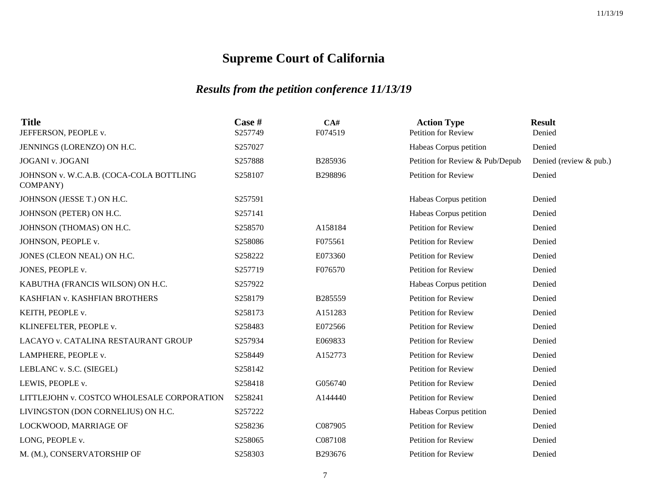| Case #<br>S257749 | CA#<br>F074519 | <b>Action Type</b><br><b>Petition for Review</b> | <b>Result</b><br>Denied |
|-------------------|----------------|--------------------------------------------------|-------------------------|
| S257027           |                | Habeas Corpus petition                           | Denied                  |
| S257888           | B285936        | Petition for Review & Pub/Depub                  | Denied (review & pub.)  |
| S258107           | B298896        | <b>Petition for Review</b>                       | Denied                  |
| S257591           |                | Habeas Corpus petition                           | Denied                  |
| S257141           |                | Habeas Corpus petition                           | Denied                  |
| S258570           | A158184        | <b>Petition for Review</b>                       | Denied                  |
| S258086           | F075561        | <b>Petition for Review</b>                       | Denied                  |
| S258222           | E073360        | <b>Petition for Review</b>                       | Denied                  |
| S257719           | F076570        | <b>Petition for Review</b>                       | Denied                  |
| S257922           |                | Habeas Corpus petition                           | Denied                  |
| S258179           | B285559        | <b>Petition for Review</b>                       | Denied                  |
| S258173           | A151283        | <b>Petition for Review</b>                       | Denied                  |
| S258483           | E072566        | Petition for Review                              | Denied                  |
| S257934           | E069833        | <b>Petition for Review</b>                       | Denied                  |
| S258449           | A152773        | Petition for Review                              | Denied                  |
| S258142           |                | Petition for Review                              | Denied                  |
| S258418           | G056740        | <b>Petition for Review</b>                       | Denied                  |
| S258241           | A144440        | <b>Petition for Review</b>                       | Denied                  |
| S257222           |                | Habeas Corpus petition                           | Denied                  |
| S258236           | C087905        | Petition for Review                              | Denied                  |
| S258065           | C087108        | Petition for Review                              | Denied                  |
| S258303           | B293676        | Petition for Review                              | Denied                  |
|                   |                |                                                  |                         |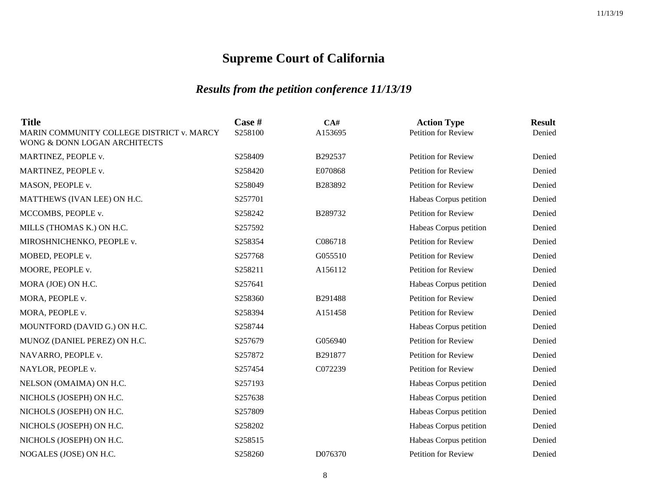| <b>Title</b><br>MARIN COMMUNITY COLLEGE DISTRICT v. MARCY | Case #<br>S258100 | CA#<br>A153695 | <b>Action Type</b><br><b>Petition for Review</b> | <b>Result</b><br>Denied |
|-----------------------------------------------------------|-------------------|----------------|--------------------------------------------------|-------------------------|
| WONG & DONN LOGAN ARCHITECTS                              |                   |                |                                                  |                         |
| MARTINEZ, PEOPLE v.                                       | S258409           | B292537        | <b>Petition for Review</b>                       | Denied                  |
| MARTINEZ, PEOPLE v.                                       | S258420           | E070868        | Petition for Review                              | Denied                  |
| MASON, PEOPLE v.                                          | S258049           | B283892        | <b>Petition for Review</b>                       | Denied                  |
| MATTHEWS (IVAN LEE) ON H.C.                               | S257701           |                | Habeas Corpus petition                           | Denied                  |
| MCCOMBS, PEOPLE v.                                        | S258242           | B289732        | Petition for Review                              | Denied                  |
| MILLS (THOMAS K.) ON H.C.                                 | S257592           |                | Habeas Corpus petition                           | Denied                  |
| MIROSHNICHENKO, PEOPLE v.                                 | S258354           | C086718        | Petition for Review                              | Denied                  |
| MOBED, PEOPLE v.                                          | S257768           | G055510        | Petition for Review                              | Denied                  |
| MOORE, PEOPLE v.                                          | S258211           | A156112        | Petition for Review                              | Denied                  |
| MORA (JOE) ON H.C.                                        | S257641           |                | Habeas Corpus petition                           | Denied                  |
| MORA, PEOPLE v.                                           | S258360           | B291488        | <b>Petition for Review</b>                       | Denied                  |
| MORA, PEOPLE v.                                           | S258394           | A151458        | Petition for Review                              | Denied                  |
| MOUNTFORD (DAVID G.) ON H.C.                              | S258744           |                | Habeas Corpus petition                           | Denied                  |
| MUNOZ (DANIEL PEREZ) ON H.C.                              | S257679           | G056940        | Petition for Review                              | Denied                  |
| NAVARRO, PEOPLE v.                                        | S257872           | B291877        | Petition for Review                              | Denied                  |
| NAYLOR, PEOPLE v.                                         | S257454           | C072239        | <b>Petition for Review</b>                       | Denied                  |
| NELSON (OMAIMA) ON H.C.                                   | S257193           |                | Habeas Corpus petition                           | Denied                  |
| NICHOLS (JOSEPH) ON H.C.                                  | S257638           |                | Habeas Corpus petition                           | Denied                  |
| NICHOLS (JOSEPH) ON H.C.                                  | S257809           |                | Habeas Corpus petition                           | Denied                  |
| NICHOLS (JOSEPH) ON H.C.                                  | S258202           |                | Habeas Corpus petition                           | Denied                  |
| NICHOLS (JOSEPH) ON H.C.                                  | S258515           |                | Habeas Corpus petition                           | Denied                  |
| NOGALES (JOSE) ON H.C.                                    | S258260           | D076370        | Petition for Review                              | Denied                  |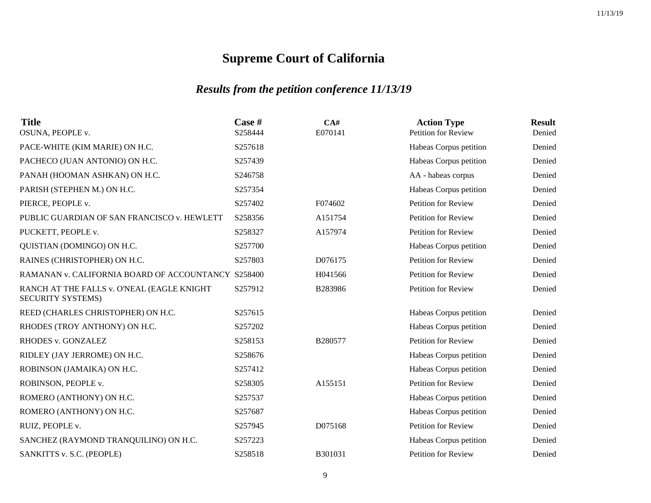| <b>Title</b><br>OSUNA, PEOPLE v.                                       | Case #<br>S258444 | CA#<br>E070141 | <b>Action Type</b><br><b>Petition for Review</b> | <b>Result</b><br>Denied |
|------------------------------------------------------------------------|-------------------|----------------|--------------------------------------------------|-------------------------|
| PACE-WHITE (KIM MARIE) ON H.C.                                         | S257618           |                | Habeas Corpus petition                           | Denied                  |
| PACHECO (JUAN ANTONIO) ON H.C.                                         | S257439           |                | Habeas Corpus petition                           | Denied                  |
| PANAH (HOOMAN ASHKAN) ON H.C.                                          | S246758           |                | AA - habeas corpus                               | Denied                  |
| PARISH (STEPHEN M.) ON H.C.                                            | S257354           |                | Habeas Corpus petition                           | Denied                  |
| PIERCE, PEOPLE v.                                                      | S257402           | F074602        | Petition for Review                              | Denied                  |
| PUBLIC GUARDIAN OF SAN FRANCISCO v. HEWLETT                            | S258356           | A151754        | <b>Petition for Review</b>                       | Denied                  |
| PUCKETT, PEOPLE v.                                                     | S258327           | A157974        | <b>Petition for Review</b>                       | Denied                  |
| QUISTIAN (DOMINGO) ON H.C.                                             | S257700           |                | Habeas Corpus petition                           | Denied                  |
| RAINES (CHRISTOPHER) ON H.C.                                           | S257803           | D076175        | <b>Petition for Review</b>                       | Denied                  |
| RAMANAN v. CALIFORNIA BOARD OF ACCOUNTANCY S258400                     |                   | H041566        | Petition for Review                              | Denied                  |
| RANCH AT THE FALLS v. O'NEAL (EAGLE KNIGHT<br><b>SECURITY SYSTEMS)</b> | S257912           | B283986        | <b>Petition for Review</b>                       | Denied                  |
| REED (CHARLES CHRISTOPHER) ON H.C.                                     | S257615           |                | Habeas Corpus petition                           | Denied                  |
| RHODES (TROY ANTHONY) ON H.C.                                          | S257202           |                | Habeas Corpus petition                           | Denied                  |
| RHODES v. GONZALEZ                                                     | S258153           | B280577        | Petition for Review                              | Denied                  |
| RIDLEY (JAY JERROME) ON H.C.                                           | S258676           |                | Habeas Corpus petition                           | Denied                  |
| ROBINSON (JAMAIKA) ON H.C.                                             | S257412           |                | Habeas Corpus petition                           | Denied                  |
| ROBINSON, PEOPLE v.                                                    | S258305           | A155151        | Petition for Review                              | Denied                  |
| ROMERO (ANTHONY) ON H.C.                                               | S257537           |                | Habeas Corpus petition                           | Denied                  |
| ROMERO (ANTHONY) ON H.C.                                               | S257687           |                | Habeas Corpus petition                           | Denied                  |
| RUIZ, PEOPLE v.                                                        | S257945           | D075168        | <b>Petition for Review</b>                       | Denied                  |
| SANCHEZ (RAYMOND TRANQUILINO) ON H.C.                                  | S257223           |                | Habeas Corpus petition                           | Denied                  |
| SANKITTS v. S.C. (PEOPLE)                                              | S258518           | B301031        | <b>Petition for Review</b>                       | Denied                  |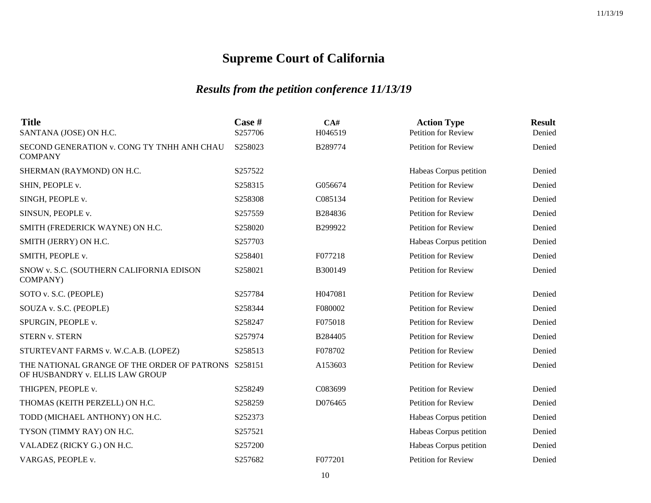| <b>Title</b><br>SANTANA (JOSE) ON H.C.                                                 | Case #<br>S257706 | CA#<br>H046519 | <b>Action Type</b><br><b>Petition for Review</b> | <b>Result</b><br>Denied |
|----------------------------------------------------------------------------------------|-------------------|----------------|--------------------------------------------------|-------------------------|
| SECOND GENERATION v. CONG TY TNHH ANH CHAU<br><b>COMPANY</b>                           | S258023           | B289774        | Petition for Review                              | Denied                  |
| SHERMAN (RAYMOND) ON H.C.                                                              | S257522           |                | Habeas Corpus petition                           | Denied                  |
| SHIN, PEOPLE v.                                                                        | S258315           | G056674        | <b>Petition for Review</b>                       | Denied                  |
| SINGH, PEOPLE v.                                                                       | S258308           | C085134        | Petition for Review                              | Denied                  |
| SINSUN, PEOPLE v.                                                                      | S257559           | B284836        | Petition for Review                              | Denied                  |
| SMITH (FREDERICK WAYNE) ON H.C.                                                        | S258020           | B299922        | <b>Petition for Review</b>                       | Denied                  |
| SMITH (JERRY) ON H.C.                                                                  | S257703           |                | Habeas Corpus petition                           | Denied                  |
| SMITH, PEOPLE v.                                                                       | S258401           | F077218        | Petition for Review                              | Denied                  |
| SNOW v. S.C. (SOUTHERN CALIFORNIA EDISON<br><b>COMPANY</b> )                           | S258021           | B300149        | <b>Petition for Review</b>                       | Denied                  |
| SOTO v. S.C. (PEOPLE)                                                                  | S257784           | H047081        | Petition for Review                              | Denied                  |
| SOUZA v. S.C. (PEOPLE)                                                                 | S258344           | F080002        | Petition for Review                              | Denied                  |
| SPURGIN, PEOPLE v.                                                                     | S258247           | F075018        | Petition for Review                              | Denied                  |
| <b>STERN v. STERN</b>                                                                  | S257974           | B284405        | Petition for Review                              | Denied                  |
| STURTEVANT FARMS v. W.C.A.B. (LOPEZ)                                                   | S258513           | F078702        | Petition for Review                              | Denied                  |
| THE NATIONAL GRANGE OF THE ORDER OF PATRONS S258151<br>OF HUSBANDRY v. ELLIS LAW GROUP |                   | A153603        | Petition for Review                              | Denied                  |
| THIGPEN, PEOPLE v.                                                                     | S258249           | C083699        | Petition for Review                              | Denied                  |
| THOMAS (KEITH PERZELL) ON H.C.                                                         | S258259           | D076465        | <b>Petition for Review</b>                       | Denied                  |
| TODD (MICHAEL ANTHONY) ON H.C.                                                         | S252373           |                | Habeas Corpus petition                           | Denied                  |
| TYSON (TIMMY RAY) ON H.C.                                                              | S257521           |                | Habeas Corpus petition                           | Denied                  |
| VALADEZ (RICKY G.) ON H.C.                                                             | S257200           |                | Habeas Corpus petition                           | Denied                  |
| VARGAS, PEOPLE v.                                                                      | S257682           | F077201        | Petition for Review                              | Denied                  |